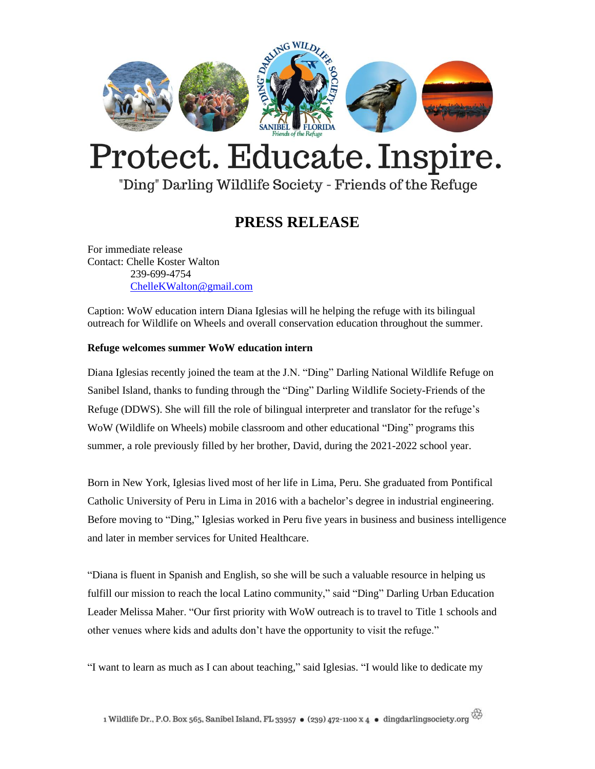

# Protect. Educate. Inspire.

### "Ding" Darling Wildlife Society - Friends of the Refuge

## **PRESS RELEASE**

For immediate release Contact: Chelle Koster Walton 239-699-4754 [ChelleKWalton@gmail.com](mailto:ChelleKWalton@gmail.com)

Caption: WoW education intern Diana Iglesias will he helping the refuge with its bilingual outreach for Wildlife on Wheels and overall conservation education throughout the summer.

#### **Refuge welcomes summer WoW education intern**

Diana Iglesias recently joined the team at the J.N. "Ding" Darling National Wildlife Refuge on Sanibel Island, thanks to funding through the "Ding" Darling Wildlife Society-Friends of the Refuge (DDWS). She will fill the role of bilingual interpreter and translator for the refuge's WoW (Wildlife on Wheels) mobile classroom and other educational "Ding" programs this summer, a role previously filled by her brother, David, during the 2021-2022 school year.

Born in New York, Iglesias lived most of her life in Lima, Peru. She graduated from Pontifical Catholic University of Peru in Lima in 2016 with a bachelor's degree in industrial engineering. Before moving to "Ding," Iglesias worked in Peru five years in business and business intelligence and later in member services for United Healthcare.

"Diana is fluent in Spanish and English, so she will be such a valuable resource in helping us fulfill our mission to reach the local Latino community," said "Ding" Darling Urban Education Leader Melissa Maher. "Our first priority with WoW outreach is to travel to Title 1 schools and other venues where kids and adults don't have the opportunity to visit the refuge."

"I want to learn as much as I can about teaching," said Iglesias. "I would like to dedicate my